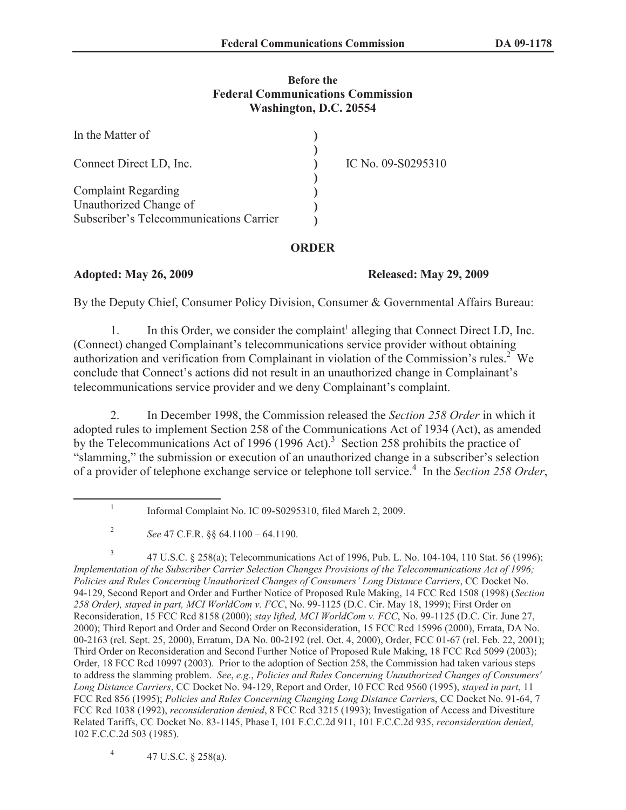#### **Before the Federal Communications Commission Washington, D.C. 20554**

| In the Matter of                                     |                    |
|------------------------------------------------------|--------------------|
| Connect Direct LD, Inc.                              | IC No. 09-S0295310 |
| <b>Complaint Regarding</b><br>Unauthorized Change of |                    |
| Subscriber's Telecommunications Carrier              |                    |

## **ORDER**

## **Adopted: May 26, 2009 Released: May 29, 2009**

By the Deputy Chief, Consumer Policy Division, Consumer & Governmental Affairs Bureau:

1. In this Order, we consider the complaint<sup>1</sup> alleging that Connect Direct LD, Inc. (Connect) changed Complainant's telecommunications service provider without obtaining authorization and verification from Complainant in violation of the Commission's rules.<sup>2</sup> We conclude that Connect's actions did not result in an unauthorized change in Complainant's telecommunications service provider and we deny Complainant's complaint.

2. In December 1998, the Commission released the *Section 258 Order* in which it adopted rules to implement Section 258 of the Communications Act of 1934 (Act), as amended by the Telecommunications Act of 1996 (1996 Act).<sup>3</sup> Section 258 prohibits the practice of "slamming," the submission or execution of an unauthorized change in a subscriber's selection of a provider of telephone exchange service or telephone toll service.<sup>4</sup> In the *Section 258 Order*,

4 47 U.S.C. § 258(a).

<sup>1</sup> Informal Complaint No. IC 09-S0295310, filed March 2, 2009.

<sup>2</sup> *See* 47 C.F.R. §§ 64.1100 – 64.1190.

<sup>3</sup> 47 U.S.C. § 258(a); Telecommunications Act of 1996, Pub. L. No. 104-104, 110 Stat. 56 (1996); *Implementation of the Subscriber Carrier Selection Changes Provisions of the Telecommunications Act of 1996; Policies and Rules Concerning Unauthorized Changes of Consumers' Long Distance Carriers*, CC Docket No. 94-129, Second Report and Order and Further Notice of Proposed Rule Making, 14 FCC Rcd 1508 (1998) (*Section 258 Order), stayed in part, MCI WorldCom v. FCC*, No. 99-1125 (D.C. Cir. May 18, 1999); First Order on Reconsideration, 15 FCC Rcd 8158 (2000); *stay lifted, MCI WorldCom v. FCC*, No. 99-1125 (D.C. Cir. June 27, 2000); Third Report and Order and Second Order on Reconsideration, 15 FCC Rcd 15996 (2000), Errata, DA No. 00-2163 (rel. Sept. 25, 2000), Erratum, DA No. 00-2192 (rel. Oct. 4, 2000), Order, FCC 01-67 (rel. Feb. 22, 2001); Third Order on Reconsideration and Second Further Notice of Proposed Rule Making, 18 FCC Rcd 5099 (2003); Order, 18 FCC Rcd 10997 (2003). Prior to the adoption of Section 258, the Commission had taken various steps to address the slamming problem. *See*, *e.g.*, *Policies and Rules Concerning Unauthorized Changes of Consumers' Long Distance Carriers*, CC Docket No. 94-129, Report and Order, 10 FCC Rcd 9560 (1995), *stayed in part*, 11 FCC Rcd 856 (1995); *Policies and Rules Concerning Changing Long Distance Carrier*s, CC Docket No. 91-64, 7 FCC Rcd 1038 (1992), *reconsideration denied*, 8 FCC Rcd 3215 (1993); Investigation of Access and Divestiture Related Tariffs, CC Docket No. 83-1145, Phase I, 101 F.C.C.2d 911, 101 F.C.C.2d 935, *reconsideration denied*, 102 F.C.C.2d 503 (1985).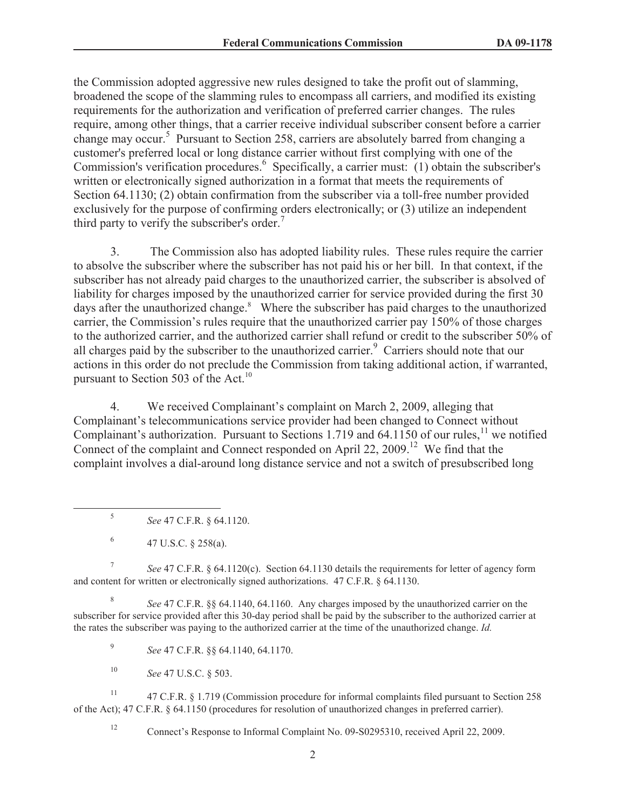the Commission adopted aggressive new rules designed to take the profit out of slamming, broadened the scope of the slamming rules to encompass all carriers, and modified its existing requirements for the authorization and verification of preferred carrier changes. The rules require, among other things, that a carrier receive individual subscriber consent before a carrier change may occur.<sup>5</sup> Pursuant to Section 258, carriers are absolutely barred from changing a customer's preferred local or long distance carrier without first complying with one of the Commission's verification procedures.<sup>6</sup> Specifically, a carrier must: (1) obtain the subscriber's written or electronically signed authorization in a format that meets the requirements of Section 64.1130; (2) obtain confirmation from the subscriber via a toll-free number provided exclusively for the purpose of confirming orders electronically; or (3) utilize an independent third party to verify the subscriber's order.<sup>7</sup>

3. The Commission also has adopted liability rules. These rules require the carrier to absolve the subscriber where the subscriber has not paid his or her bill. In that context, if the subscriber has not already paid charges to the unauthorized carrier, the subscriber is absolved of liability for charges imposed by the unauthorized carrier for service provided during the first 30 days after the unauthorized change.<sup>8</sup> Where the subscriber has paid charges to the unauthorized carrier, the Commission's rules require that the unauthorized carrier pay 150% of those charges to the authorized carrier, and the authorized carrier shall refund or credit to the subscriber 50% of all charges paid by the subscriber to the unauthorized carrier.<sup>9</sup> Carriers should note that our actions in this order do not preclude the Commission from taking additional action, if warranted, pursuant to Section 503 of the Act.<sup>10</sup>

4. We received Complainant's complaint on March 2, 2009, alleging that Complainant's telecommunications service provider had been changed to Connect without Complainant's authorization. Pursuant to Sections 1.719 and  $64.1150$  of our rules,<sup>11</sup> we notified Connect of the complaint and Connect responded on April 22, 2009.<sup>12</sup> We find that the complaint involves a dial-around long distance service and not a switch of presubscribed long

5 *See* 47 C.F.R. § 64.1120.

6 47 U.S.C. § 258(a).

7 *See* 47 C.F.R. § 64.1120(c). Section 64.1130 details the requirements for letter of agency form and content for written or electronically signed authorizations. 47 C.F.R. § 64.1130.

8 *See* 47 C.F.R. §§ 64.1140, 64.1160. Any charges imposed by the unauthorized carrier on the subscriber for service provided after this 30-day period shall be paid by the subscriber to the authorized carrier at the rates the subscriber was paying to the authorized carrier at the time of the unauthorized change. *Id.*

9 *See* 47 C.F.R. §§ 64.1140, 64.1170.

<sup>10</sup> *See* 47 U.S.C. § 503.

<sup>11</sup> 47 C.F.R. § 1.719 (Commission procedure for informal complaints filed pursuant to Section 258 of the Act); 47 C.F.R. § 64.1150 (procedures for resolution of unauthorized changes in preferred carrier).

<sup>12</sup> Connect's Response to Informal Complaint No. 09-S0295310, received April 22, 2009.